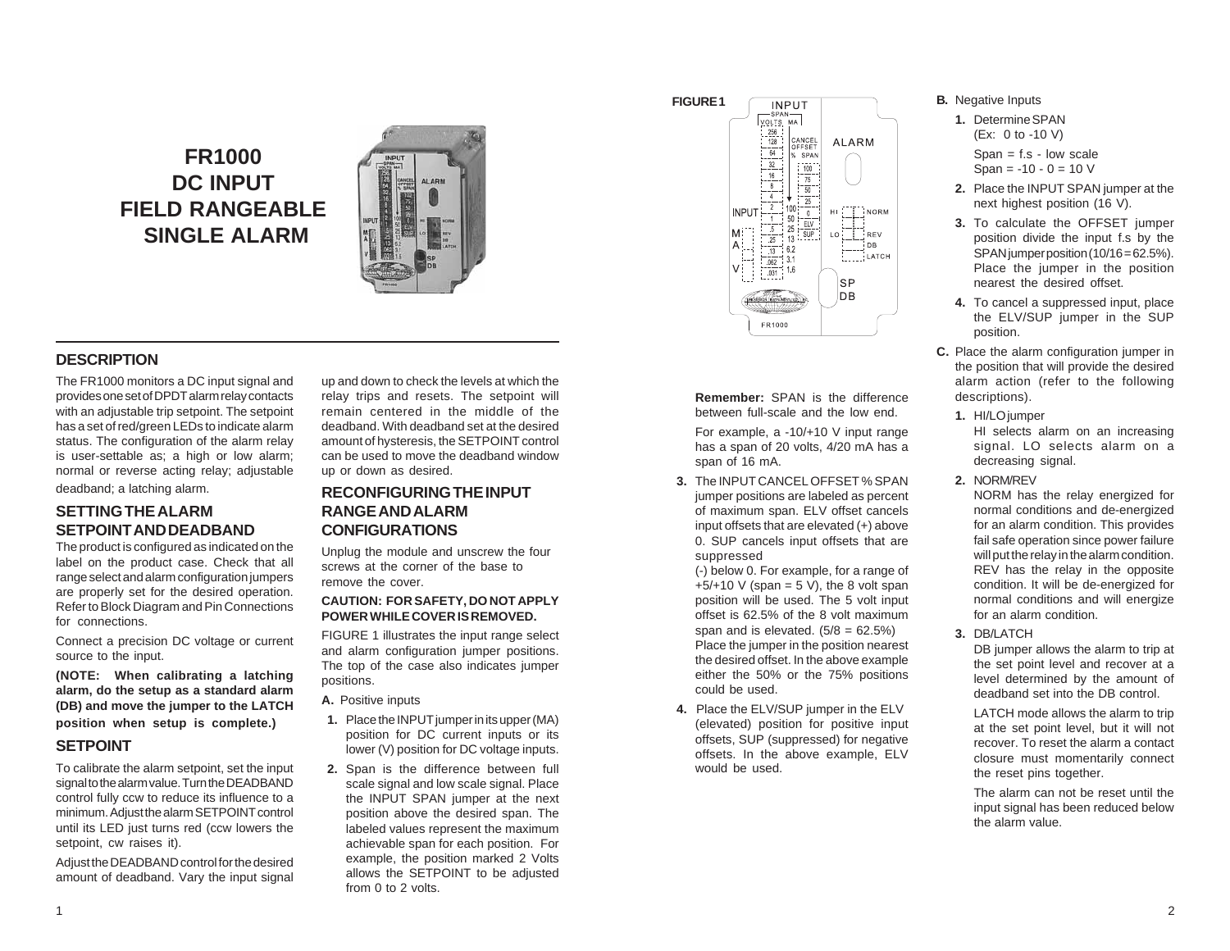# **FR1000 DC INPUT FIELD RANGEABLE SINGLE ALARM**



# **DESCRIPTION**

The FR1000 monitors a DC input signal and provides one set of DPDT alarm relay contacts with an adjustable trip setpoint. The setpoint has a set of red/green LEDs to indicate alarm status. The configuration of the alarm relay is user-settable as; a high or low alarm; normal or reverse acting relay; adjustable deadband; a latching alarm.

# **SETTING THE ALARM SETPOINT AND DEADBAND**

The product is configured as indicated on the label on the product case. Check that all range select and alarm configuration jumpers are properly set for the desired operation. Refer to Block Diagram and Pin Connections for connections.

Connect a precision DC voltage or current source to the input.

**(NOTE: When calibrating a latching alarm, do the setup as a standard alarm (DB) and move the jumper to the LATCH position when setup is complete.)**

# **SETPOINT**

To calibrate the alarm setpoint, set the input signal to the alarm value. Turn the DEADBAND control fully ccw to reduce its influence to a minimum. Adjust the alarm SETPOINT control until its LED just turns red (ccw lowers the setpoint, cw raises it).

Adjust the DEADBAND control for the desired amount of deadband. Vary the input signal up and down to check the levels at which the relay trips and resets. The setpoint will remain centered in the middle of the deadband. With deadband set at the desired amount of hysteresis, the SETPOINT control can be used to move the deadband window up or down as desired.

# **RECONFIGURING THE INPUT RANGE AND ALARM CONFIGURATIONS**

Unplug the module and unscrew the four screws at the corner of the base to remove the cover.

#### **CAUTION: FOR SAFETY, DO NOT APPLY POWER WHILE COVER IS REMOVED.**

FIGURE 1 illustrates the input range select and alarm configuration jumper positions. The top of the case also indicates jumper positions.

**A.** Positive inputs

- **1.** Place the INPUT jumper in its upper (MA) position for DC current inputs or its lower (V) position for DC voltage inputs.
- **2.** Span is the difference between full scale signal and low scale signal. Place the INPUT SPAN jumper at the next position above the desired span. The labeled values represent the maximum achievable span for each position. For example, the position marked 2 Volts allows the SETPOINT to be adjusted from 0 to 2 volts.



**Remember:** SPAN is the difference between full-scale and the low end.

For example, a -10/+10 V input range has a span of 20 volts, 4/20 mA has a span of 16 mA.

**3.** The INPUT CANCEL OFFSET % SPAN jumper positions are labeled as percent of maximum span. ELV offset cancels input offsets that are elevated (+) above 0. SUP cancels input offsets that are suppressed

(-) below 0. For example, for a range of  $+5/+10$  V (span = 5 V), the 8 volt span position will be used. The 5 volt input offset is 62.5% of the 8 volt maximum span and is elevated.  $(5/8 = 62.5\%)$ Place the jumper in the position nearest the desired offset. In the above example either the 50% or the 75% positions could be used.

**4.** Place the ELV/SUP jumper in the ELV (elevated) position for positive input offsets, SUP (suppressed) for negative offsets. In the above example, ELV would be used.

#### **B.** Negative Inputs

- **1.** Determine SPAN (Ex: 0 to -10 V) Span  $=$  f.s - low scale Span =  $-10 - 0 = 10$  V
- **2.** Place the INPUT SPAN jumper at the next highest position (16 V).
- **3.** To calculate the OFFSET jumper position divide the input f.s by the SPAN jumper position (10/16 = 62.5%). Place the jumper in the position nearest the desired offset.
- **4.** To cancel a suppressed input, place the ELV/SUP jumper in the SUP position.
- **C.** Place the alarm configuration jumper in the position that will provide the desired alarm action (refer to the following descriptions).
	- **1.** HI/LO jumper HI selects alarm on an increasing signal. LO selects alarm on a decreasing signal.
- **2.** NORM/REV

NORM has the relay energized for normal conditions and de-energized for an alarm condition. This provides fail safe operation since power failure will put the relay in the alarm condition. REV has the relay in the opposite condition. It will be de-energized for normal conditions and will energize for an alarm condition.

**3.** DB/LATCH

DB jumper allows the alarm to trip at the set point level and recover at a level determined by the amount of deadband set into the DB control.

LATCH mode allows the alarm to trip at the set point level, but it will not recover. To reset the alarm a contact closure must momentarily connect the reset pins together.

The alarm can not be reset until the input signal has been reduced below the alarm value.